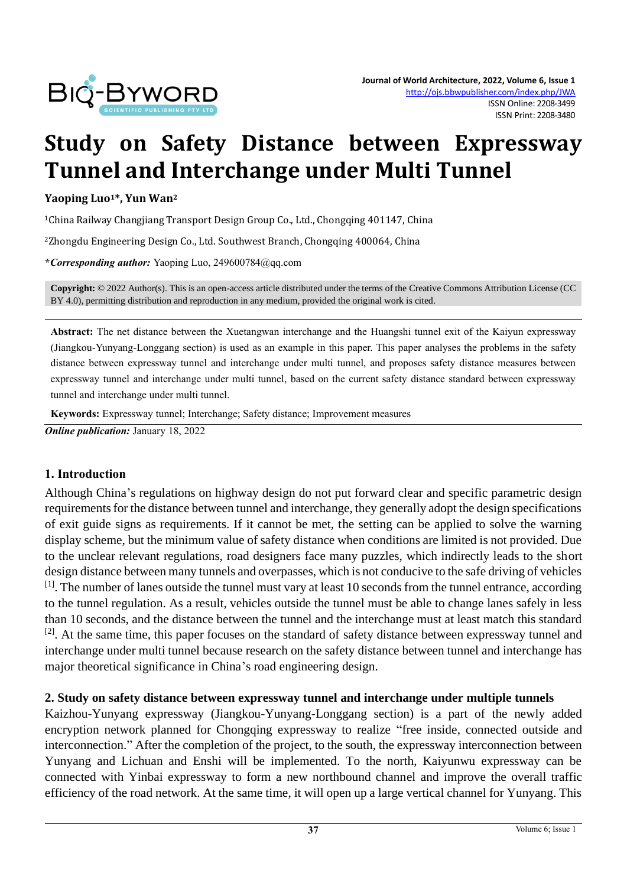

# **Study on Safety Distance between Expressway Tunnel and Interchange under Multi Tunnel**

#### **Yaoping Luo1\*, Yun Wan<sup>2</sup>**

<sup>1</sup>China Railway Changjiang Transport Design Group Co., Ltd., Chongqing 401147, China

<sup>2</sup>Zhongdu Engineering Design Co., Ltd. Southwest Branch, Chongqing 400064, China

**\****Corresponding author:* Yaoping Luo, 249600784@qq.com

**Copyright:** © 2022 Author(s). This is an open-access article distributed under the terms of th[e Creative Commons Attribution License \(CC](https://creativecommons.org/licenses/by/4.0/)  [BY 4.0\),](https://creativecommons.org/licenses/by/4.0/) permitting distribution and reproduction in any medium, provided the original work is cited.

**Abstract:** The net distance between the Xuetangwan interchange and the Huangshi tunnel exit of the Kaiyun expressway (Jiangkou-Yunyang-Longgang section) is used as an example in this paper. This paper analyses the problems in the safety distance between expressway tunnel and interchange under multi tunnel, and proposes safety distance measures between expressway tunnel and interchange under multi tunnel, based on the current safety distance standard between expressway tunnel and interchange under multi tunnel.

**Keywords:** Expressway tunnel; Interchange; Safety distance; Improvement measures

*Online publication:* January 18, 2022

### **1. Introduction**

Although China's regulations on highway design do not put forward clear and specific parametric design requirements for the distance between tunnel and interchange, they generally adopt the design specifications of exit guide signs as requirements. If it cannot be met, the setting can be applied to solve the warning display scheme, but the minimum value of safety distance when conditions are limited is not provided. Due to the unclear relevant regulations, road designers face many puzzles, which indirectly leads to the short design distance between many tunnels and overpasses, which is not conducive to the safe driving of vehicles [1]. The number of lanes outside the tunnel must vary at least 10 seconds from the tunnel entrance, according to the tunnel regulation. As a result, vehicles outside the tunnel must be able to change lanes safely in less than 10 seconds, and the distance between the tunnel and the interchange must at least match this standard <sup>[2]</sup>. At the same time, this paper focuses on the standard of safety distance between expressway tunnel and interchange under multi tunnel because research on the safety distance between tunnel and interchange has major theoretical significance in China's road engineering design.

### **2. Study on safety distance between expressway tunnel and interchange under multiple tunnels**

Kaizhou-Yunyang expressway (Jiangkou-Yunyang-Longgang section) is a part of the newly added encryption network planned for Chongqing expressway to realize "free inside, connected outside and interconnection." After the completion of the project, to the south, the expressway interconnection between Yunyang and Lichuan and Enshi will be implemented. To the north, Kaiyunwu expressway can be connected with Yinbai expressway to form a new northbound channel and improve the overall traffic efficiency of the road network. At the same time, it will open up a large vertical channel for Yunyang. This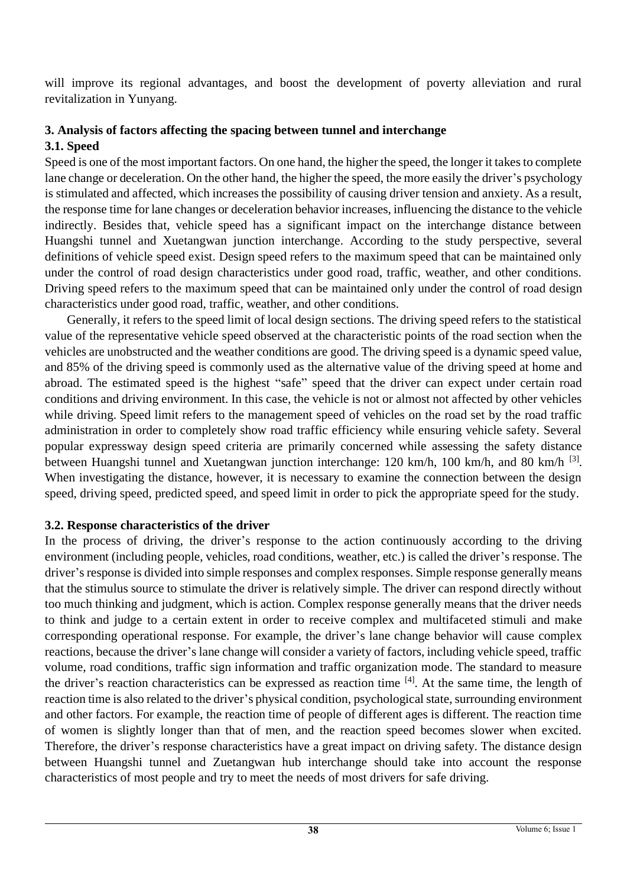will improve its regional advantages, and boost the development of poverty alleviation and rural revitalization in Yunyang.

## **3. Analysis of factors affecting the spacing between tunnel and interchange 3.1. Speed**

Speed is one of the most important factors. On one hand, the higher the speed, the longer it takes to complete lane change or deceleration. On the other hand, the higher the speed, the more easily the driver's psychology is stimulated and affected, which increases the possibility of causing driver tension and anxiety. As a result, the response time for lane changes or deceleration behavior increases, influencing the distance to the vehicle indirectly. Besides that, vehicle speed has a significant impact on the interchange distance between Huangshi tunnel and Xuetangwan junction interchange. According to the study perspective, several definitions of vehicle speed exist. Design speed refers to the maximum speed that can be maintained only under the control of road design characteristics under good road, traffic, weather, and other conditions. Driving speed refers to the maximum speed that can be maintained only under the control of road design characteristics under good road, traffic, weather, and other conditions.

Generally, it refers to the speed limit of local design sections. The driving speed refers to the statistical value of the representative vehicle speed observed at the characteristic points of the road section when the vehicles are unobstructed and the weather conditions are good. The driving speed is a dynamic speed value, and 85% of the driving speed is commonly used as the alternative value of the driving speed at home and abroad. The estimated speed is the highest "safe" speed that the driver can expect under certain road conditions and driving environment. In this case, the vehicle is not or almost not affected by other vehicles while driving. Speed limit refers to the management speed of vehicles on the road set by the road traffic administration in order to completely show road traffic efficiency while ensuring vehicle safety. Several popular expressway design speed criteria are primarily concerned while assessing the safety distance between Huangshi tunnel and Xuetangwan junction interchange: 120 km/h, 100 km/h, and 80 km/h <sup>[3]</sup>. When investigating the distance, however, it is necessary to examine the connection between the design speed, driving speed, predicted speed, and speed limit in order to pick the appropriate speed for the study.

## **3.2. Response characteristics of the driver**

In the process of driving, the driver's response to the action continuously according to the driving environment (including people, vehicles, road conditions, weather, etc.) is called the driver's response. The driver's response is divided into simple responses and complex responses. Simple response generally means that the stimulus source to stimulate the driver is relatively simple. The driver can respond directly without too much thinking and judgment, which is action. Complex response generally means that the driver needs to think and judge to a certain extent in order to receive complex and multifaceted stimuli and make corresponding operational response. For example, the driver's lane change behavior will cause complex reactions, because the driver's lane change will consider a variety of factors, including vehicle speed, traffic volume, road conditions, traffic sign information and traffic organization mode. The standard to measure the driver's reaction characteristics can be expressed as reaction time [4]. At the same time, the length of reaction time is also related to the driver's physical condition, psychological state, surrounding environment and other factors. For example, the reaction time of people of different ages is different. The reaction time of women is slightly longer than that of men, and the reaction speed becomes slower when excited. Therefore, the driver's response characteristics have a great impact on driving safety. The distance design between Huangshi tunnel and Zuetangwan hub interchange should take into account the response characteristics of most people and try to meet the needs of most drivers for safe driving.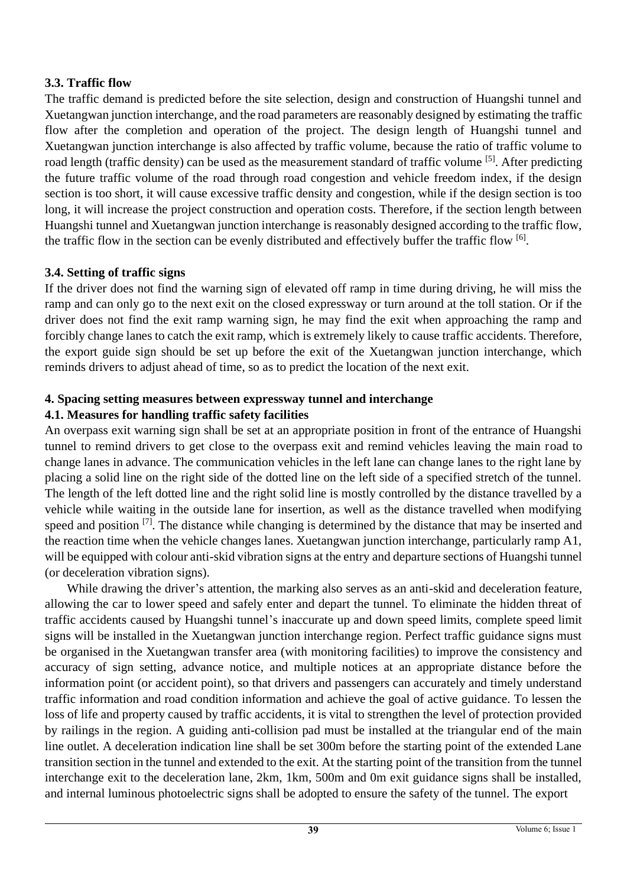## **3.3. Traffic flow**

The traffic demand is predicted before the site selection, design and construction of Huangshi tunnel and Xuetangwan junction interchange, and the road parameters are reasonably designed by estimating the traffic flow after the completion and operation of the project. The design length of Huangshi tunnel and Xuetangwan junction interchange is also affected by traffic volume, because the ratio of traffic volume to road length (traffic density) can be used as the measurement standard of traffic volume <sup>[5]</sup>. After predicting the future traffic volume of the road through road congestion and vehicle freedom index, if the design section is too short, it will cause excessive traffic density and congestion, while if the design section is too long, it will increase the project construction and operation costs. Therefore, if the section length between Huangshi tunnel and Xuetangwan junction interchange is reasonably designed according to the traffic flow, the traffic flow in the section can be evenly distributed and effectively buffer the traffic flow [6].

## **3.4. Setting of traffic signs**

If the driver does not find the warning sign of elevated off ramp in time during driving, he will miss the ramp and can only go to the next exit on the closed expressway or turn around at the toll station. Or if the driver does not find the exit ramp warning sign, he may find the exit when approaching the ramp and forcibly change lanes to catch the exit ramp, which is extremely likely to cause traffic accidents. Therefore, the export guide sign should be set up before the exit of the Xuetangwan junction interchange, which reminds drivers to adjust ahead of time, so as to predict the location of the next exit.

# **4. Spacing setting measures between expressway tunnel and interchange**

## **4.1. Measures for handling traffic safety facilities**

An overpass exit warning sign shall be set at an appropriate position in front of the entrance of Huangshi tunnel to remind drivers to get close to the overpass exit and remind vehicles leaving the main road to change lanes in advance. The communication vehicles in the left lane can change lanes to the right lane by placing a solid line on the right side of the dotted line on the left side of a specified stretch of the tunnel. The length of the left dotted line and the right solid line is mostly controlled by the distance travelled by a vehicle while waiting in the outside lane for insertion, as well as the distance travelled when modifying speed and position <sup>[7]</sup>. The distance while changing is determined by the distance that may be inserted and the reaction time when the vehicle changes lanes. Xuetangwan junction interchange, particularly ramp A1, will be equipped with colour anti-skid vibration signs at the entry and departure sections of Huangshi tunnel (or deceleration vibration signs).

While drawing the driver's attention, the marking also serves as an anti-skid and deceleration feature, allowing the car to lower speed and safely enter and depart the tunnel. To eliminate the hidden threat of traffic accidents caused by Huangshi tunnel's inaccurate up and down speed limits, complete speed limit signs will be installed in the Xuetangwan junction interchange region. Perfect traffic guidance signs must be organised in the Xuetangwan transfer area (with monitoring facilities) to improve the consistency and accuracy of sign setting, advance notice, and multiple notices at an appropriate distance before the information point (or accident point), so that drivers and passengers can accurately and timely understand traffic information and road condition information and achieve the goal of active guidance. To lessen the loss of life and property caused by traffic accidents, it is vital to strengthen the level of protection provided by railings in the region. A guiding anti-collision pad must be installed at the triangular end of the main line outlet. A deceleration indication line shall be set 300m before the starting point of the extended Lane transition section in the tunnel and extended to the exit. At the starting point of the transition from the tunnel interchange exit to the deceleration lane, 2km, 1km, 500m and 0m exit guidance signs shall be installed, and internal luminous photoelectric signs shall be adopted to ensure the safety of the tunnel. The export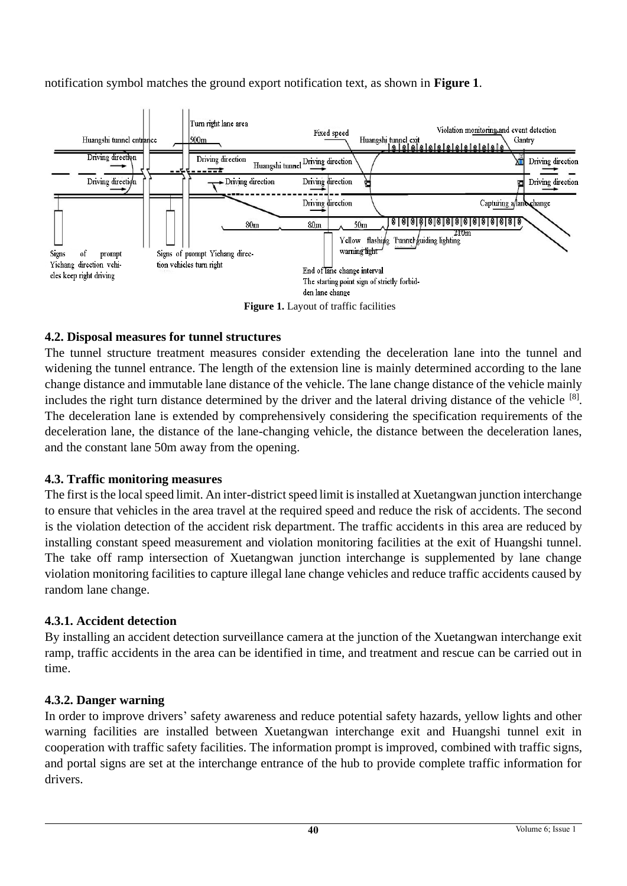notification symbol matches the ground export notification text, as shown in **Figure 1**.



**Figure 1.** Layout of traffic facilities

## **4.2. Disposal measures for tunnel structures**

The tunnel structure treatment measures consider extending the deceleration lane into the tunnel and widening the tunnel entrance. The length of the extension line is mainly determined according to the lane change distance and immutable lane distance of the vehicle. The lane change distance of the vehicle mainly includes the right turn distance determined by the driver and the lateral driving distance of the vehicle [8]. The deceleration lane is extended by comprehensively considering the specification requirements of the deceleration lane, the distance of the lane-changing vehicle, the distance between the deceleration lanes, and the constant lane 50m away from the opening.

## **4.3. Traffic monitoring measures**

The first is the local speed limit. An inter-district speed limit is installed at Xuetangwan junction interchange to ensure that vehicles in the area travel at the required speed and reduce the risk of accidents. The second is the violation detection of the accident risk department. The traffic accidents in this area are reduced by installing constant speed measurement and violation monitoring facilities at the exit of Huangshi tunnel. The take off ramp intersection of Xuetangwan junction interchange is supplemented by lane change violation monitoring facilities to capture illegal lane change vehicles and reduce traffic accidents caused by random lane change.

## **4.3.1. Accident detection**

By installing an accident detection surveillance camera at the junction of the Xuetangwan interchange exit ramp, traffic accidents in the area can be identified in time, and treatment and rescue can be carried out in time.

## **4.3.2. Danger warning**

In order to improve drivers' safety awareness and reduce potential safety hazards, yellow lights and other warning facilities are installed between Xuetangwan interchange exit and Huangshi tunnel exit in cooperation with traffic safety facilities. The information prompt is improved, combined with traffic signs, and portal signs are set at the interchange entrance of the hub to provide complete traffic information for drivers.